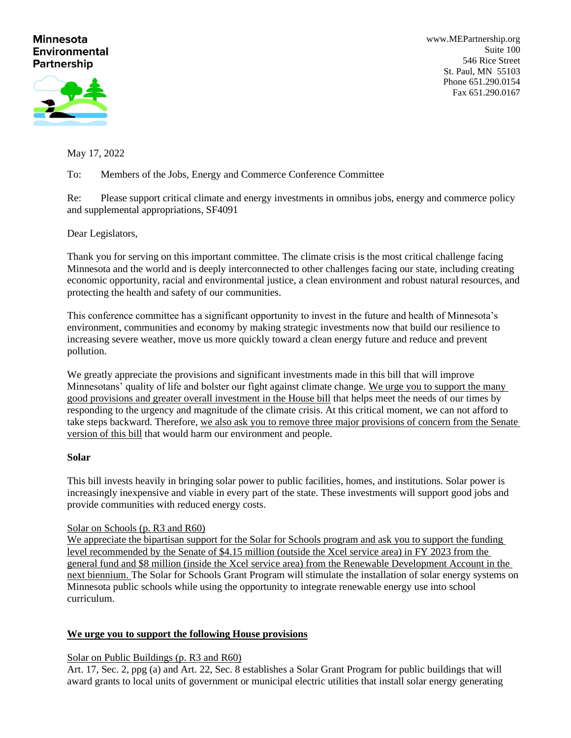# **Minnesota Environmental Partnership**

[www.MEPartnership.org](http://www.mepartnership.org/) Suite 100 546 Rice Street St. Paul, MN 55103 Phone 651.290.0154 Fax 651.290.0167

May 17, 2022

To: Members of the Jobs, Energy and Commerce Conference Committee

Re: Please support critical climate and energy investments in omnibus jobs, energy and commerce policy and supplemental appropriations, SF4091

Dear Legislators,

Thank you for serving on this important committee. The climate crisis is the most critical challenge facing Minnesota and the world and is deeply interconnected to other challenges facing our state, including creating economic opportunity, racial and environmental justice, a clean environment and robust natural resources, and protecting the health and safety of our communities.

This conference committee has a significant opportunity to invest in the future and health of Minnesota's environment, communities and economy by making strategic investments now that build our resilience to increasing severe weather, move us more quickly toward a clean energy future and reduce and prevent pollution.

We greatly appreciate the provisions and significant investments made in this bill that will improve Minnesotans' quality of life and bolster our fight against climate change. We urge you to support the many good provisions and greater overall investment in the House bill that helps meet the needs of our times by responding to the urgency and magnitude of the climate crisis. At this critical moment, we can not afford to take steps backward. Therefore, we also ask you to remove three major provisions of concern from the Senate version of this bill that would harm our environment and people.

## **Solar**

This bill invests heavily in bringing solar power to public facilities, homes, and institutions. Solar power is increasingly inexpensive and viable in every part of the state. These investments will support good jobs and provide communities with reduced energy costs.

## Solar on Schools (p. R3 and R60)

We appreciate the bipartisan support for the Solar for Schools program and ask you to support the funding level recommended by the Senate of \$4.15 million (outside the Xcel service area) in FY 2023 from the general fund and \$8 million (inside the Xcel service area) from the Renewable Development Account in the next biennium. The Solar for Schools Grant Program will stimulate the installation of solar energy systems on Minnesota public schools while using the opportunity to integrate renewable energy use into school curriculum.

## **We urge you to support the following House provisions**

# Solar on Public Buildings (p. R3 and R60)

Art. 17, Sec. 2, ppg (a) and Art. 22, Sec. 8 establishes a Solar Grant Program for public buildings that will award grants to local units of government or municipal electric utilities that install solar energy generating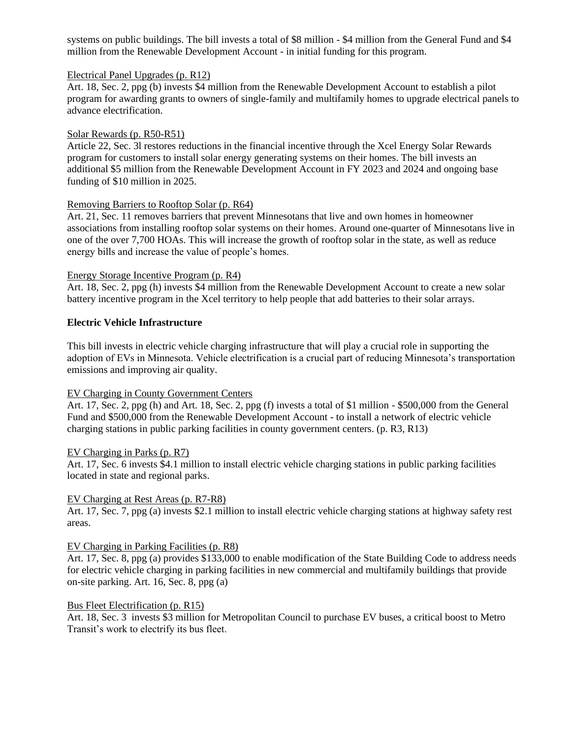systems on public buildings. The bill invests a total of \$8 million - \$4 million from the General Fund and \$4 million from the Renewable Development Account - in initial funding for this program.

## Electrical Panel Upgrades (p. R12)

Art. 18, Sec. 2, ppg (b) invests \$4 million from the Renewable Development Account to establish a pilot program for awarding grants to owners of single-family and multifamily homes to upgrade electrical panels to advance electrification.

### Solar Rewards (p. R50-R51)

Article 22, Sec. 3l restores reductions in the financial incentive through the Xcel Energy Solar Rewards program for customers to install solar energy generating systems on their homes. The bill invests an additional \$5 million from the Renewable Development Account in FY 2023 and 2024 and ongoing base funding of \$10 million in 2025.

### Removing Barriers to Rooftop Solar (p. R64)

Art. 21, Sec. 11 removes barriers that prevent Minnesotans that live and own homes in homeowner associations from installing rooftop solar systems on their homes. Around one-quarter of Minnesotans live in one of the over 7,700 HOAs. This will increase the growth of rooftop solar in the state, as well as reduce energy bills and increase the value of people's homes.

### Energy Storage Incentive Program (p. R4)

Art. 18, Sec. 2, ppg (h) invests \$4 million from the Renewable Development Account to create a new solar battery incentive program in the Xcel territory to help people that add batteries to their solar arrays.

## **Electric Vehicle Infrastructure**

This bill invests in electric vehicle charging infrastructure that will play a crucial role in supporting the adoption of EVs in Minnesota. Vehicle electrification is a crucial part of reducing Minnesota's transportation emissions and improving air quality.

## EV Charging in County Government Centers

Art. 17, Sec. 2, ppg (h) and Art. 18, Sec. 2, ppg (f) invests a total of \$1 million - \$500,000 from the General Fund and \$500,000 from the Renewable Development Account - to install a network of electric vehicle charging stations in public parking facilities in county government centers. (p. R3, R13)

#### EV Charging in Parks (p. R7)

Art. 17, Sec. 6 invests \$4.1 million to install electric vehicle charging stations in public parking facilities located in state and regional parks.

#### EV Charging at Rest Areas (p. R7-R8)

Art. 17, Sec. 7, ppg (a) invests \$2.1 million to install electric vehicle charging stations at highway safety rest areas.

#### EV Charging in Parking Facilities (p. R8)

Art. 17, Sec. 8, ppg (a) provides \$133,000 to enable modification of the State Building Code to address needs for electric vehicle charging in parking facilities in new commercial and multifamily buildings that provide on-site parking. Art. 16, Sec. 8, ppg (a)

#### Bus Fleet Electrification (p. R15)

Art. 18, Sec. 3 invests \$3 million for Metropolitan Council to purchase EV buses, a critical boost to Metro Transit's work to electrify its bus fleet.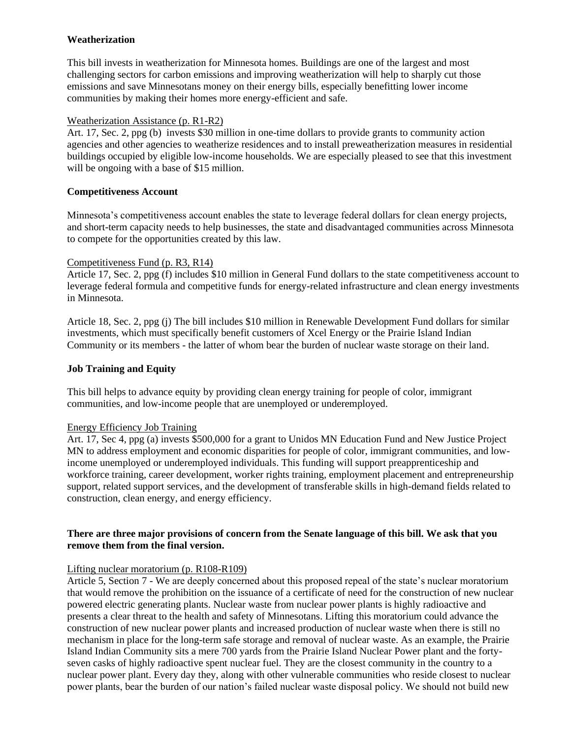## **Weatherization**

This bill invests in weatherization for Minnesota homes. Buildings are one of the largest and most challenging sectors for carbon emissions and improving weatherization will help to sharply cut those emissions and save Minnesotans money on their energy bills, especially benefitting lower income communities by making their homes more energy-efficient and safe.

## Weatherization Assistance (p. R1-R2)

Art. 17, Sec. 2, ppg (b) invests \$30 million in one-time dollars to provide grants to community action agencies and other agencies to weatherize residences and to install preweatherization measures in residential buildings occupied by eligible low-income households. We are especially pleased to see that this investment will be ongoing with a base of \$15 million.

## **Competitiveness Account**

Minnesota's competitiveness account enables the state to leverage federal dollars for clean energy projects, and short-term capacity needs to help businesses, the state and disadvantaged communities across Minnesota to compete for the opportunities created by this law.

## Competitiveness Fund (p. R3, R14)

Article 17, Sec. 2, ppg (f) includes \$10 million in General Fund dollars to the state competitiveness account to leverage federal formula and competitive funds for energy-related infrastructure and clean energy investments in Minnesota.

Article 18, Sec. 2, ppg (j) The bill includes \$10 million in Renewable Development Fund dollars for similar investments, which must specifically benefit customers of Xcel Energy or the Prairie Island Indian Community or its members - the latter of whom bear the burden of nuclear waste storage on their land.

## **Job Training and Equity**

This bill helps to advance equity by providing clean energy training for people of color, immigrant communities, and low-income people that are unemployed or underemployed.

## Energy Efficiency Job Training

Art. 17, Sec 4, ppg (a) invests \$500,000 for a grant to Unidos MN Education Fund and New Justice Project MN to address employment and economic disparities for people of color, immigrant communities, and lowincome unemployed or underemployed individuals. This funding will support preapprenticeship and workforce training, career development, worker rights training, employment placement and entrepreneurship support, related support services, and the development of transferable skills in high-demand fields related to construction, clean energy, and energy efficiency.

## **There are three major provisions of concern from the Senate language of this bill. We ask that you remove them from the final version.**

# Lifting nuclear moratorium (p. R108-R109)

Article 5, Section 7 - We are deeply concerned about this proposed repeal of the state's nuclear moratorium that would remove the prohibition on the issuance of a certificate of need for the construction of new nuclear powered electric generating plants. Nuclear waste from nuclear power plants is highly radioactive and presents a clear threat to the health and safety of Minnesotans. Lifting this moratorium could advance the construction of new nuclear power plants and increased production of nuclear waste when there is still no mechanism in place for the long-term safe storage and removal of nuclear waste. As an example, the Prairie Island Indian Community sits a mere 700 yards from the Prairie Island Nuclear Power plant and the fortyseven casks of highly radioactive spent nuclear fuel. They are the closest community in the country to a nuclear power plant. Every day they, along with other vulnerable communities who reside closest to nuclear power plants, bear the burden of our nation's failed nuclear waste disposal policy. We should not build new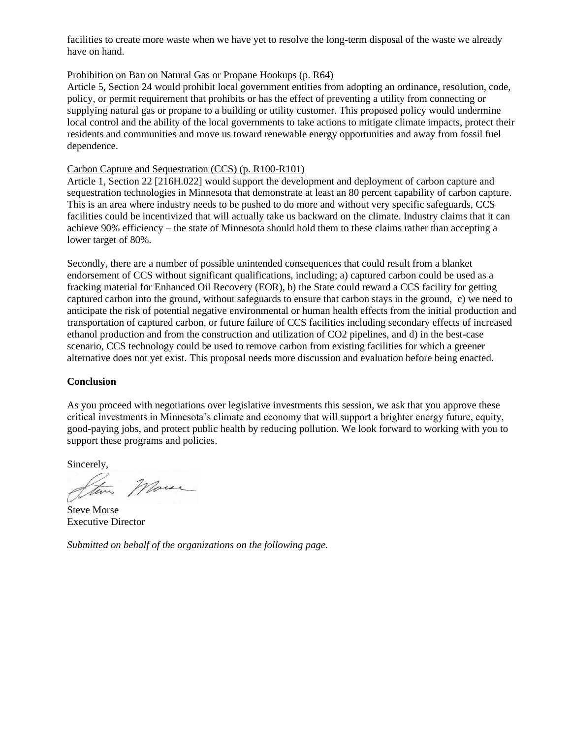facilities to create more waste when we have yet to resolve the long-term disposal of the waste we already have on hand.

### Prohibition on Ban on Natural Gas or Propane Hookups (p. R64)

Article 5, Section 24 would prohibit local government entities from adopting an ordinance, resolution, code, policy, or permit requirement that prohibits or has the effect of preventing a utility from connecting or supplying natural gas or propane to a building or utility customer. This proposed policy would undermine local control and the ability of the local governments to take actions to mitigate climate impacts, protect their residents and communities and move us toward renewable energy opportunities and away from fossil fuel dependence.

## Carbon Capture and Sequestration (CCS) (p. R100-R101)

Article 1, Section 22 [216H.022] would support the development and deployment of carbon capture and sequestration technologies in Minnesota that demonstrate at least an 80 percent capability of carbon capture. This is an area where industry needs to be pushed to do more and without very specific safeguards, CCS facilities could be incentivized that will actually take us backward on the climate. Industry claims that it can achieve 90% efficiency – the state of Minnesota should hold them to these claims rather than accepting a lower target of 80%.

Secondly, there are a number of possible unintended consequences that could result from a blanket endorsement of CCS without significant qualifications, including; a) captured carbon could be used as a fracking material for Enhanced Oil Recovery (EOR), b) the State could reward a CCS facility for getting captured carbon into the ground, without safeguards to ensure that carbon stays in the ground, c) we need to anticipate the risk of potential negative environmental or human health effects from the initial production and transportation of captured carbon, or future failure of CCS facilities including secondary effects of increased ethanol production and from the construction and utilization of CO2 pipelines, and d) in the best-case scenario, CCS technology could be used to remove carbon from existing facilities for which a greener alternative does not yet exist. This proposal needs more discussion and evaluation before being enacted.

## **Conclusion**

As you proceed with negotiations over legislative investments this session, we ask that you approve these critical investments in Minnesota's climate and economy that will support a brighter energy future, equity, good-paying jobs, and protect public health by reducing pollution. We look forward to working with you to support these programs and policies.

Sincerely,

More

Steve Morse Executive Director

*Submitted on behalf of the organizations on the following page.*